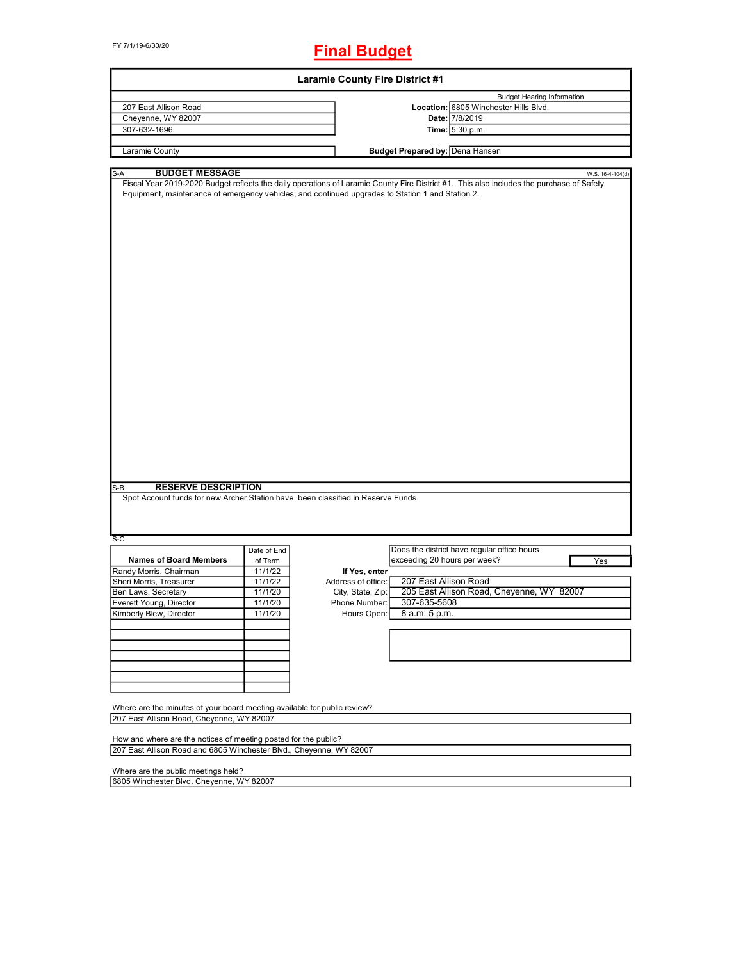FY 7/1/19-6/30/20

## **Final Budget**

| <b>Laramie County Fire District #1</b>                                                                                                 |             |                    |                                        |                                                                                                                                          |  |  |
|----------------------------------------------------------------------------------------------------------------------------------------|-------------|--------------------|----------------------------------------|------------------------------------------------------------------------------------------------------------------------------------------|--|--|
|                                                                                                                                        |             |                    |                                        | <b>Budget Hearing Information</b>                                                                                                        |  |  |
| 207 East Allison Road                                                                                                                  |             |                    |                                        | Location: 6805 Winchester Hills Blvd.                                                                                                    |  |  |
| Cheyenne, WY 82007                                                                                                                     |             |                    |                                        | Date: 7/8/2019                                                                                                                           |  |  |
| 307-632-1696                                                                                                                           |             |                    |                                        | Time: 5:30 p.m.                                                                                                                          |  |  |
|                                                                                                                                        |             |                    |                                        |                                                                                                                                          |  |  |
| Laramie County                                                                                                                         |             |                    | <b>Budget Prepared by: Dena Hansen</b> |                                                                                                                                          |  |  |
| <b>BUDGET MESSAGE</b><br>S-A                                                                                                           |             |                    |                                        | W.S. 16-4-104(d)                                                                                                                         |  |  |
| Equipment, maintenance of emergency vehicles, and continued upgrades to Station 1 and Station 2.                                       |             |                    |                                        | Fiscal Year 2019-2020 Budget reflects the daily operations of Laramie County Fire District #1. This also includes the purchase of Safety |  |  |
|                                                                                                                                        |             |                    |                                        |                                                                                                                                          |  |  |
|                                                                                                                                        |             |                    |                                        |                                                                                                                                          |  |  |
| <b>RESERVE DESCRIPTION</b><br>S-B                                                                                                      |             |                    |                                        |                                                                                                                                          |  |  |
| Spot Account funds for new Archer Station have been classified in Reserve Funds<br>S-C                                                 |             |                    |                                        |                                                                                                                                          |  |  |
|                                                                                                                                        | Date of End |                    |                                        | Does the district have regular office hours                                                                                              |  |  |
| <b>Names of Board Members</b>                                                                                                          | of Term     |                    | exceeding 20 hours per week?           | Yes                                                                                                                                      |  |  |
| Randy Morris, Chairman                                                                                                                 | 11/1/22     | If Yes, enter      |                                        |                                                                                                                                          |  |  |
| Sheri Morris, Treasurer                                                                                                                | 11/1/22     | Address of office: | 207 East Allison Road                  |                                                                                                                                          |  |  |
| Ben Laws, Secretary                                                                                                                    | 11/1/20     | City, State, Zip:  |                                        | 205 East Allison Road, Cheyenne, WY 82007                                                                                                |  |  |
| Everett Young, Director                                                                                                                | 11/1/20     | Phone Number:      | 307-635-5608                           |                                                                                                                                          |  |  |
| Kimberly Blew, Director                                                                                                                | 11/1/20     | Hours Open:        | 8 a.m. 5 p.m.                          |                                                                                                                                          |  |  |
|                                                                                                                                        |             |                    |                                        |                                                                                                                                          |  |  |
|                                                                                                                                        |             |                    |                                        |                                                                                                                                          |  |  |
|                                                                                                                                        |             |                    |                                        |                                                                                                                                          |  |  |
|                                                                                                                                        |             |                    |                                        |                                                                                                                                          |  |  |
| Where are the minutes of your board meeting available for public review?                                                               |             |                    |                                        |                                                                                                                                          |  |  |
| 207 East Allison Road, Cheyenne, WY 82007                                                                                              |             |                    |                                        |                                                                                                                                          |  |  |
| How and where are the notices of meeting posted for the public?<br>207 East Allison Road and 6805 Winchester Blvd., Cheyenne, WY 82007 |             |                    |                                        |                                                                                                                                          |  |  |

Where are the public meetings held?

6805 Winchester Blvd. Cheyenne, WY 82007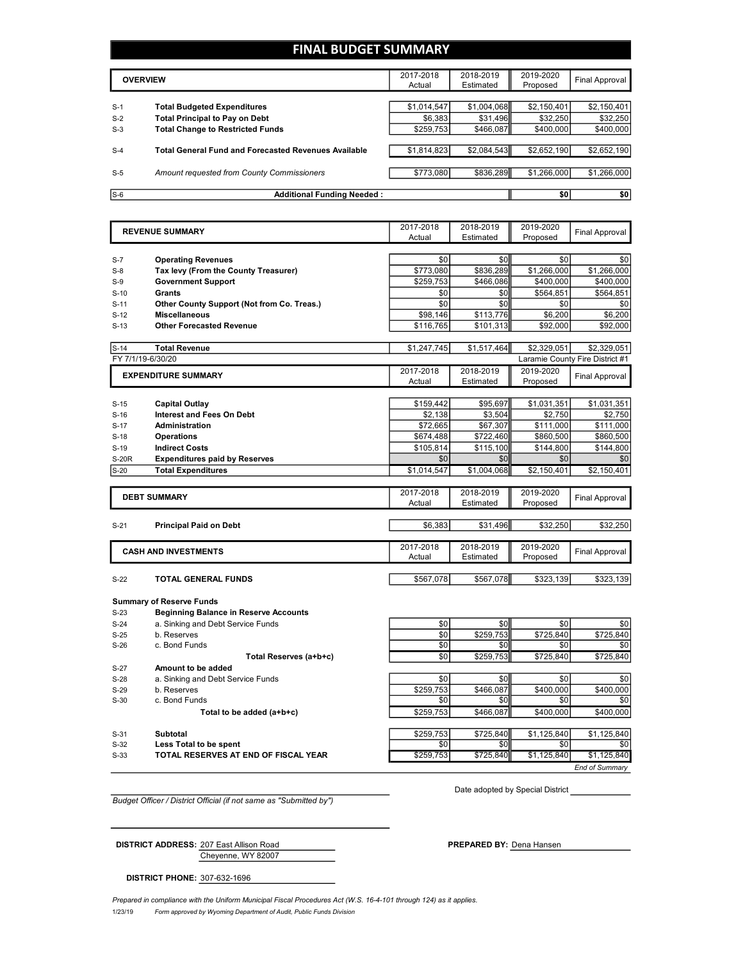## **FINAL BUDGET SUMMARY**

|       | <b>OVERVIEW</b>                                             |             | 2018-2019<br>Estimated | 2019-2020<br>Proposed | Final Approval |
|-------|-------------------------------------------------------------|-------------|------------------------|-----------------------|----------------|
|       |                                                             |             |                        |                       |                |
| $S-1$ | <b>Total Budgeted Expenditures</b>                          | \$1,014,547 | \$1,004,068            | \$2,150,401           | \$2,150,401    |
| $S-2$ | <b>Total Principal to Pay on Debt</b>                       | \$6.383     | \$31.496               | \$32,250              | \$32,250       |
| $S-3$ | <b>Total Change to Restricted Funds</b>                     | \$259,753   | \$466,087              | \$400,000             | \$400,000      |
|       |                                                             |             |                        |                       |                |
| $S-4$ | <b>Total General Fund and Forecasted Revenues Available</b> | \$1.814.823 | \$2,084,543            | \$2,652.190           | \$2,652,190    |
|       |                                                             |             |                        |                       |                |
| $S-5$ | Amount requested from County Commissioners                  | \$773,080   | \$836,289              | \$1,266,000           | \$1,266,000    |
|       |                                                             |             |                        |                       |                |
| $S-6$ | <b>Additional Funding Needed:</b>                           |             |                        | \$0                   | \$0            |

|              | <b>REVENUE SUMMARY</b>                                                          |             | 2018-2019   | 2019-2020              | <b>Final Approval</b>           |
|--------------|---------------------------------------------------------------------------------|-------------|-------------|------------------------|---------------------------------|
|              |                                                                                 | Actual      | Estimated   | Proposed               |                                 |
| $S-7$        | <b>Operating Revenues</b>                                                       | \$0         | \$0         | \$0                    | \$0                             |
| $S-8$        | Tax levy (From the County Treasurer)                                            | \$773.080   | \$836.289   | \$1,266,000            | \$1,266,000                     |
| $S-9$        | <b>Government Support</b>                                                       | \$259,753   | \$466,086   | \$400,000              | \$400,000                       |
| $S-10$       | <b>Grants</b>                                                                   | \$0         | \$0         | \$564,851              | \$564,851                       |
| $S-11$       | Other County Support (Not from Co. Treas.)                                      | \$0         | \$0         | \$0                    | \$0                             |
| $S-12$       | <b>Miscellaneous</b>                                                            | \$98,146    | \$113,776   | \$6,200                | \$6,200                         |
|              | <b>Other Forecasted Revenue</b>                                                 | \$116,765   | \$101,313   | \$92,000               | \$92,000                        |
| $S-13$       |                                                                                 |             |             |                        |                                 |
| $S-14$       | <b>Total Revenue</b>                                                            | \$1,247,745 | \$1,517,464 | \$2.329.051            | \$2,329,051                     |
|              | FY 7/1/19-6/30/20                                                               |             |             |                        | Laramie County Fire District #1 |
|              | <b>EXPENDITURE SUMMARY</b>                                                      | 2017-2018   | 2018-2019   | 2019-2020              | <b>Final Approval</b>           |
|              |                                                                                 | Actual      | Estimated   | Proposed               |                                 |
|              |                                                                                 | \$159,442   | \$95,697    |                        |                                 |
| $S-15$       | <b>Capital Outlay</b><br><b>Interest and Fees On Debt</b>                       | \$2,138     |             | \$1,031,351<br>\$2,750 | \$1,031,351<br>\$2,750          |
| $S-16$       | Administration                                                                  |             | \$3,504     |                        |                                 |
| $S-17$       |                                                                                 | \$72,665    | \$67,307    | \$111,000              | \$111,000                       |
| $S-18$       | <b>Operations</b>                                                               | \$674,488   | \$722,460   | \$860,500              | \$860,500                       |
| $S-19$       | <b>Indirect Costs</b>                                                           | \$105.814   | \$115,100   | \$144,800              | \$144.800                       |
| <b>S-20R</b> | <b>Expenditures paid by Reserves</b>                                            | \$0         | \$0         | \$0                    | \$0                             |
| $S-20$       | <b>Total Expenditures</b>                                                       | \$1,014,547 | \$1,004,068 | \$2,150,401            | \$2,150,401                     |
|              |                                                                                 | 2017-2018   | 2018-2019   | 2019-2020              |                                 |
|              | <b>DEBT SUMMARY</b>                                                             | Actual      | Estimated   | Proposed               | <b>Final Approval</b>           |
|              |                                                                                 |             |             |                        |                                 |
| $S-21$       | <b>Principal Paid on Debt</b>                                                   | \$6,383     | \$31,496    | \$32,250               | \$32,250                        |
|              |                                                                                 | 2017-2018   | 2018-2019   | 2019-2020              |                                 |
|              | <b>CASH AND INVESTMENTS</b>                                                     | Actual      | Estimated   | Proposed               | Final Approval                  |
|              |                                                                                 |             |             |                        |                                 |
| $S-22$       | <b>TOTAL GENERAL FUNDS</b>                                                      | \$567,078   | \$567,078   | \$323,139              | \$323,139                       |
|              |                                                                                 |             |             |                        |                                 |
| $S-23$       | <b>Summary of Reserve Funds</b><br><b>Beginning Balance in Reserve Accounts</b> |             |             |                        |                                 |
| $S-24$       | a. Sinking and Debt Service Funds                                               | \$0         | \$0         | \$0                    | \$0                             |
| $S-25$       | b. Reserves                                                                     | \$0         | \$259,753   | \$725,840              | \$725,840                       |
| $S-26$       | c. Bond Funds                                                                   | \$0         | \$0         | \$0                    | \$0                             |
|              | Total Reserves (a+b+c)                                                          | \$0         | \$259,753   | \$725,840              | \$725,840                       |
| $S-27$       | Amount to be added                                                              |             |             |                        |                                 |
| $S-28$       | a. Sinking and Debt Service Funds                                               | \$0         | \$0         | \$0                    | \$0                             |
| $S-29$       | b. Reserves                                                                     | \$259,753   | \$466,087   | \$400,000              | \$400.000                       |
| $S-30$       | c. Bond Funds                                                                   | \$0         | \$0         | \$0                    | \$0                             |
|              | Total to be added (a+b+c)                                                       | \$259,753   | \$466,087   | \$400,000              | \$400.000                       |
|              |                                                                                 |             |             |                        |                                 |
|              |                                                                                 |             |             |                        |                                 |
| $S-31$       | <b>Subtotal</b>                                                                 | \$259.753   | \$725,840   | \$1,125,840            | \$1,125,840                     |

**EXECUTE TOTAL RESERVES AT END OF FISCAL YEAR THE SECUTE STATE STATE STATE STATE STATE STATES** 

*End of Summary*

*Budget Officer / District Official (if not same as "Submitted by")*

Date adopted by Special District

Cheyenne, WY 82007 **DISTRICT ADDRESS:** 207 East Allison Road **PREPARED BY:** Dena Hansen

**DISTRICT PHONE:** 307-632-1696

1/23/19 *Form approved by Wyoming Department of Audit, Public Funds Division Prepared in compliance with the Uniform Municipal Fiscal Procedures Act (W.S. 16-4-101 through 124) as it applies.*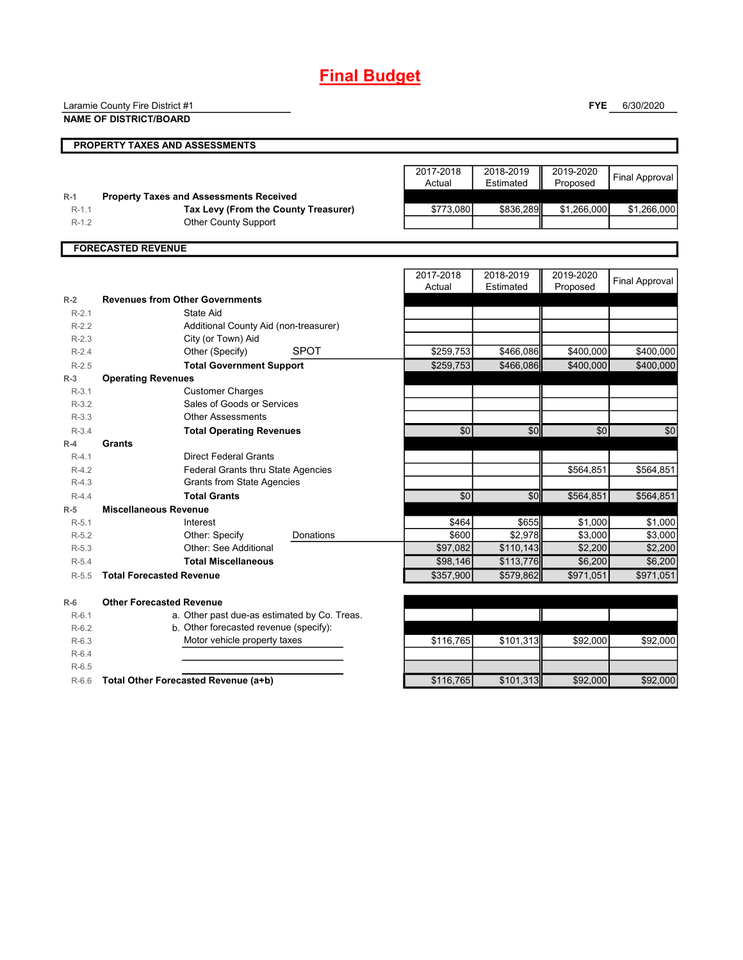## **Final Budget**

|         | Laramie County Fire District #1                |           |                        | <b>FYE</b>            | 6/30/2020             |
|---------|------------------------------------------------|-----------|------------------------|-----------------------|-----------------------|
|         | <b>NAME OF DISTRICT/BOARD</b>                  |           |                        |                       |                       |
|         |                                                |           |                        |                       |                       |
|         | <b>PROPERTY TAXES AND ASSESSMENTS</b>          |           |                        |                       |                       |
|         |                                                | 2017-2018 |                        |                       |                       |
|         |                                                | Actual    | 2018-2019<br>Estimated | 2019-2020<br>Proposed | <b>Final Approval</b> |
| $R-1$   | <b>Property Taxes and Assessments Received</b> |           |                        |                       |                       |
| $R-1.1$ | Tax Levy (From the County Treasurer)           | \$773,080 | \$836,289              | \$1,266,000           | \$1,266,000           |
| $R-1.2$ | <b>Other County Support</b>                    |           |                        |                       |                       |
|         |                                                |           |                        |                       |                       |
|         | <b>FORECASTED REVENUE</b>                      |           |                        |                       |                       |
|         |                                                |           |                        |                       |                       |
|         |                                                | 2017-2018 | 2018-2019              | 2019-2020             | <b>Final Approval</b> |
|         |                                                | Actual    | Estimated              | Proposed              |                       |
| $R-2$   | <b>Revenues from Other Governments</b>         |           |                        |                       |                       |
| $R-2.1$ | State Aid                                      |           |                        |                       |                       |
| $R-2.2$ | Additional County Aid (non-treasurer)          |           |                        |                       |                       |
| $R-2.3$ | City (or Town) Aid                             |           |                        |                       |                       |
| $R-2.4$ | <b>SPOT</b><br>Other (Specify)                 | \$259,753 | \$466,086              | \$400,000             | \$400,000             |
| $R-2.5$ | <b>Total Government Support</b>                | \$259,753 | \$466,086              | \$400,000             | \$400,000             |
| $R-3$   | <b>Operating Revenues</b>                      |           |                        |                       |                       |
| $R-3.1$ | <b>Customer Charges</b>                        |           |                        |                       |                       |
| $R-3.2$ | Sales of Goods or Services                     |           |                        |                       |                       |
| $R-3.3$ | <b>Other Assessments</b>                       |           |                        |                       |                       |
| $R-3.4$ | <b>Total Operating Revenues</b>                | \$0       | \$0                    | \$0                   | \$0                   |
| $R-4$   | Grants                                         |           |                        |                       |                       |
| $R-4.1$ | <b>Direct Federal Grants</b>                   |           |                        |                       |                       |
| $R-4.2$ | <b>Federal Grants thru State Agencies</b>      |           |                        | \$564,851             | \$564,851             |
| $R-4.3$ | <b>Grants from State Agencies</b>              |           |                        |                       |                       |
| $R-4.4$ | <b>Total Grants</b>                            | \$0       | \$0                    | \$564,851             | \$564,851             |
| $R-5$   | <b>Miscellaneous Revenue</b>                   |           |                        |                       |                       |
| $R-5.1$ | Interest                                       | \$464     | \$655                  | \$1,000               | \$1,000               |
| $R-5.2$ | Other: Specify<br>Donations                    | \$600     | \$2,978                | \$3,000               | \$3,000               |
| $R-5.3$ | Other: See Additional                          | \$97,082  | \$110,143              | \$2,200               | \$2,200               |
| $R-5.4$ | <b>Total Miscellaneous</b>                     | \$98,146  | \$113,776              | \$6,200               | \$6,200               |
| $R-5.5$ | <b>Total Forecasted Revenue</b>                | \$357,900 | \$579,862              | \$971,051             | \$971,051             |
| $R-6$   | <b>Other Forecasted Revenue</b>                |           |                        |                       |                       |
| $R-6.1$ | a. Other past due-as estimated by Co. Treas.   |           |                        |                       |                       |
| $R-6.2$ | b. Other forecasted revenue (specify):         |           |                        |                       |                       |
| $R-6.3$ | Motor vehicle property taxes                   | \$116,765 | \$101,313              | \$92,000              | \$92,000              |
| $R-6.4$ |                                                |           |                        |                       |                       |
| $R-6.5$ |                                                |           |                        |                       |                       |
| $R-6.6$ | Total Other Forecasted Revenue (a+b)           | \$116.765 | \$101,313              | \$92,000              | \$92,000              |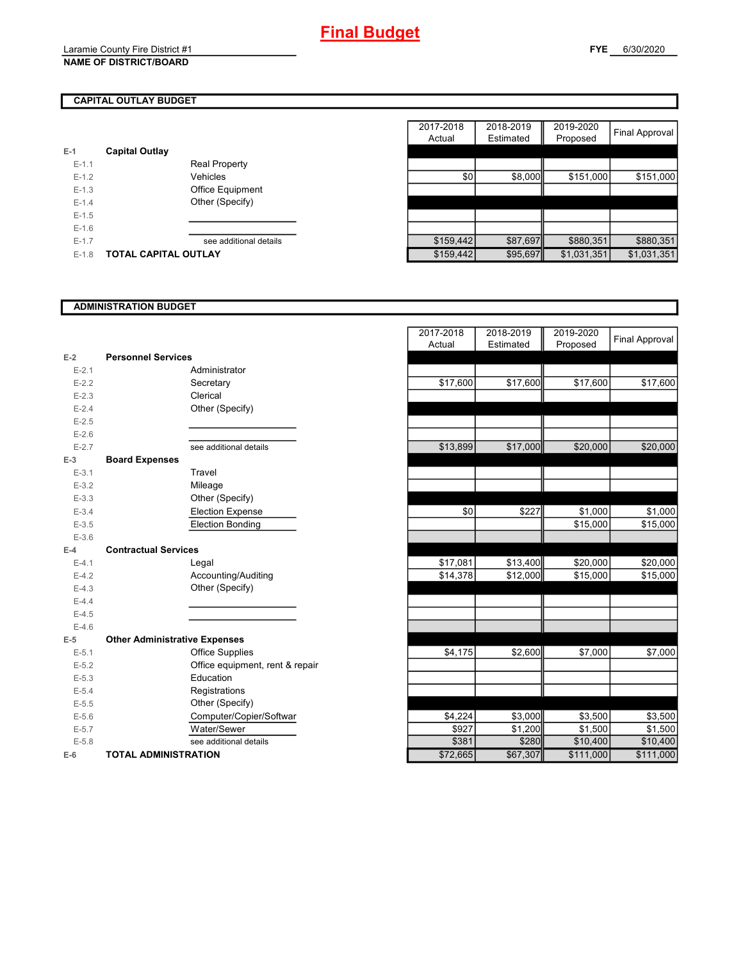## **CAPITAL OUTLAY BUDGET**

| E-1       | <b>Capital Outlay</b> |                         |
|-----------|-----------------------|-------------------------|
| $E - 1.1$ |                       | <b>Real Property</b>    |
| $E - 1.2$ |                       | Vehicles                |
| $E - 1.3$ |                       | <b>Office Equipment</b> |
| $F-14$    |                       | Other (Specify)         |
| $E - 1.5$ |                       |                         |
| $E - 1.6$ |                       |                         |
| $E - 1.7$ |                       | see additional details  |
| $E - 1.8$ | TOTAL CAPITAL OUTLAY  |                         |

|         |                             |                        | 2017-2018 | 2018-2019 | 2019-2020   |                |
|---------|-----------------------------|------------------------|-----------|-----------|-------------|----------------|
|         |                             |                        | Actual    | Estimated | Proposed    | Final Approval |
|         | <b>Capital Outlay</b>       |                        |           |           |             |                |
| $E-1.1$ |                             | <b>Real Property</b>   |           |           |             |                |
| $E-1.2$ |                             | Vehicles               | \$0       | \$8,000   | \$151,000   | \$151,000      |
| $E-1.3$ |                             | Office Equipment       |           |           |             |                |
| $E-1.4$ |                             | Other (Specify)        |           |           |             |                |
| $E-1.5$ |                             |                        |           |           |             |                |
| $E-1.6$ |                             |                        |           |           |             |                |
| $E-1.7$ |                             | see additional details | \$159,442 | \$87,697  | \$880,351   | \$880,351      |
| $E-1.8$ | <b>TOTAL CAPITAL OUTLAY</b> |                        | \$159,442 | \$95,697  | \$1,031,351 | \$1,031,351    |

## **ADMINISTRATION BUDGET**

| $E-2$     | <b>Personnel Services</b>            |
|-----------|--------------------------------------|
| $E - 2.1$ | Administrator                        |
| $E - 2.2$ | Secretary                            |
| $E - 2.3$ | Clerical                             |
| $E - 2.4$ | Other (Specify)                      |
| $E - 2.5$ |                                      |
| $E - 2.6$ |                                      |
| $E - 2.7$ | see additional details               |
| $E-3$     | <b>Board Expenses</b>                |
| $E - 3.1$ | Travel                               |
| $E-3.2$   | Mileage                              |
| $E - 3.3$ | Other (Specify)                      |
| $E - 3.4$ | <b>Election Expense</b>              |
| $E - 3.5$ | <b>Election Bonding</b>              |
| $E - 3.6$ |                                      |
| $E-4$     | <b>Contractual Services</b>          |
| $E - 4.1$ | Legal                                |
| $E - 4.2$ | Accounting/Auditing                  |
| $E-4.3$   | Other (Specify)                      |
| $E - 4.4$ |                                      |
| $E-4.5$   |                                      |
| $E-4.6$   |                                      |
| $E-5$     | <b>Other Administrative Expenses</b> |
| $E - 5.1$ | <b>Office Supplies</b>               |
| $E - 5.2$ | Office equipment, rent & repair      |
| $E - 5.3$ | Education                            |
| $E - 5.4$ | Registrations                        |
| $E - 5.5$ | Other (Specify)                      |
| $E - 5.6$ | Computer/Copier/Softwar              |
| $E - 5.7$ | Water/Sewer                          |
| $E - 5.8$ | see additional details               |
| $E-6$     | <b>TOTAL ADMINISTRATION</b>          |

|           |                                      | 2017-2018 | 2018-2019 | 2019-2020 | <b>Final Approval</b> |
|-----------|--------------------------------------|-----------|-----------|-----------|-----------------------|
|           |                                      | Actual    | Estimated | Proposed  |                       |
| $E-2$     | <b>Personnel Services</b>            |           |           |           |                       |
| $E - 2.1$ | Administrator                        |           |           |           |                       |
| $E - 2.2$ | Secretary                            | \$17,600  | \$17,600  | \$17,600  | \$17,600              |
| $E - 2.3$ | Clerical                             |           |           |           |                       |
| $E - 2.4$ | Other (Specify)                      |           |           |           |                       |
| $E - 2.5$ |                                      |           |           |           |                       |
| $E-2.6$   |                                      |           |           |           |                       |
| $E - 2.7$ | see additional details               | \$13,899  | \$17,000  | \$20,000  | \$20,000              |
| $E-3$     | <b>Board Expenses</b>                |           |           |           |                       |
| $E-3.1$   | Travel                               |           |           |           |                       |
| $E - 3.2$ | Mileage                              |           |           |           |                       |
| $E - 3.3$ | Other (Specify)                      |           |           |           |                       |
| $E - 3.4$ | <b>Election Expense</b>              | \$0       | \$227     | \$1,000   | \$1,000               |
| $E - 3.5$ | <b>Election Bonding</b>              |           |           | \$15,000  | \$15,000              |
| $E - 3.6$ |                                      |           |           |           |                       |
| $E-4$     | <b>Contractual Services</b>          |           |           |           |                       |
| $E - 4.1$ | Legal                                | \$17,081  | \$13,400  | \$20,000  | \$20,000              |
| $E-4.2$   | Accounting/Auditing                  | \$14,378  | \$12,000  | \$15,000  | \$15,000              |
| $E-4.3$   | Other (Specify)                      |           |           |           |                       |
| $E-4.4$   |                                      |           |           |           |                       |
| $E-4.5$   |                                      |           |           |           |                       |
| $E-4.6$   |                                      |           |           |           |                       |
| $E-5$     | <b>Other Administrative Expenses</b> |           |           |           |                       |
| $E - 5.1$ | <b>Office Supplies</b>               | \$4,175   | \$2,600   | \$7,000   | \$7,000               |
| $E - 5.2$ | Office equipment, rent & repair      |           |           |           |                       |
| $E-5.3$   | Education                            |           |           |           |                       |
| $E - 5.4$ | Registrations                        |           |           |           |                       |
| $E - 5.5$ | Other (Specify)                      |           |           |           |                       |
| $E-5.6$   | Computer/Copier/Softwar              | \$4,224   | \$3,000   | \$3,500   | \$3,500               |
| $E - 5.7$ | Water/Sewer                          | \$927     | \$1,200   | \$1,500   | \$1,500               |
| $E - 5.8$ | see additional details               | \$381     | \$280     | \$10,400  | \$10,400              |
| $E-6$     | <b>TOTAL ADMINISTRATION</b>          | \$72,665  | \$67,307  | \$111,000 | \$111,000             |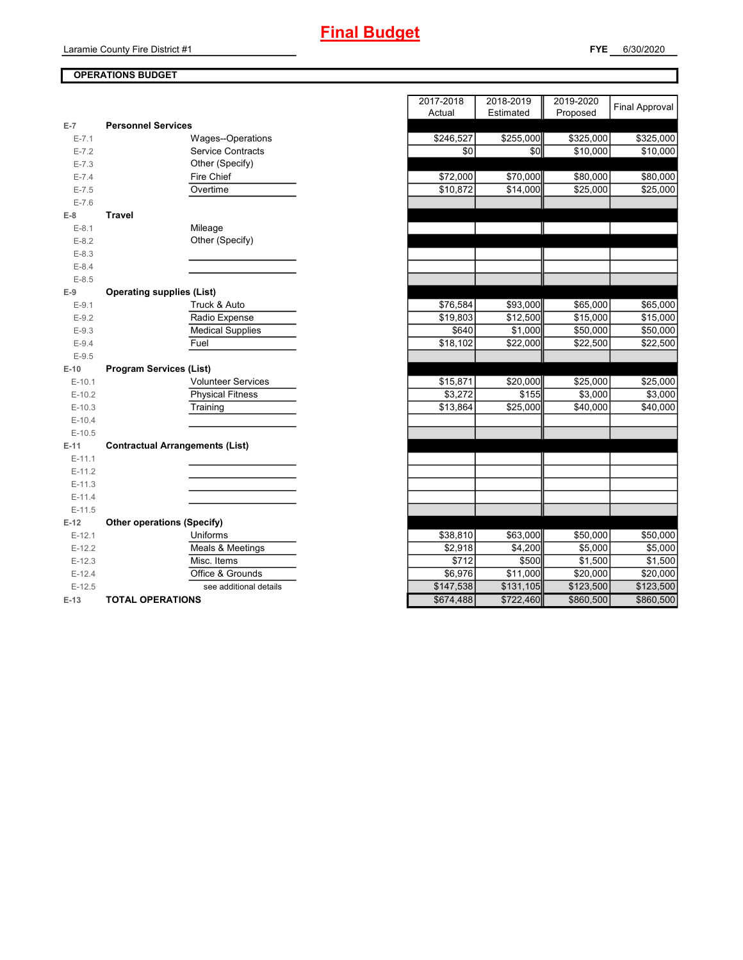## **FYE** 6/30/2020

## **OPERATIONS BUDGET**

| $E-7$     | <b>Personnel Services</b>              |
|-----------|----------------------------------------|
| $E - 7.1$ | Wages--Operations                      |
| $E - 7.2$ | <b>Service Contracts</b>               |
| $E - 7.3$ | Other (Specify)                        |
| $E - 7.4$ | Fire Chief                             |
| $E - 7.5$ | Overtime                               |
| $E - 7.6$ |                                        |
| $E-8$     | Travel                                 |
| $E-8.1$   | Mileage                                |
| $E - 8.2$ | Other (Specify)                        |
| $E-8.3$   |                                        |
| $E - 8.4$ |                                        |
| $E-8.5$   |                                        |
| $E-9$     | <b>Operating supplies (List)</b>       |
| $E-9.1$   | Truck & Auto                           |
| $E-9.2$   | Radio Expense                          |
| $E-9.3$   | <b>Medical Supplies</b>                |
| $E-9.4$   | Fuel                                   |
| $E - 9.5$ |                                        |
| $E-10$    | <b>Program Services (List)</b>         |
| $E-10.1$  | <b>Volunteer Services</b>              |
| $E-10.2$  | <b>Physical Fitness</b>                |
| $E-10.3$  | Training                               |
| $E-10.4$  |                                        |
| $E-10.5$  |                                        |
| $E-11$    | <b>Contractual Arrangements (List)</b> |
| $E-11.1$  |                                        |
| $E-11.2$  |                                        |
| $E-11.3$  |                                        |
| $E-11.4$  |                                        |
| $E-11.5$  |                                        |
| $E-12$    | <b>Other operations (Specify)</b>      |
| $E-12.1$  | Uniforms                               |
| $E-12.2$  | <b>Meals &amp; Meetings</b>            |
| $E-12.3$  | Misc. Items                            |
| $E-12.4$  | Office & Grounds                       |
| $E-12.5$  | see additional details                 |
| $E-13$    | <b>TOTAL OPERATIONS</b>                |

|           |                                        | 2017-2018            | 2018-2019 | 2019-2020 | Final Approval      |
|-----------|----------------------------------------|----------------------|-----------|-----------|---------------------|
|           |                                        | Actual               | Estimated | Proposed  |                     |
| $E-7$     | <b>Personnel Services</b>              |                      |           |           |                     |
| $E - 7.1$ | Wages--Operations                      | \$246,527            | \$255,000 | \$325,000 | \$325,000           |
| $E - 7.2$ | <b>Service Contracts</b>               | \$0                  | \$0       | \$10,000  | \$10,000            |
| $E - 7.3$ | Other (Specify)                        |                      |           |           |                     |
| $E - 7.4$ | Fire Chief                             | \$72,000             | \$70,000  | \$80,000  | \$80,000            |
| $E - 7.5$ | Overtime                               | \$10,872             | \$14,000  | \$25,000  | \$25,000            |
| $E - 7.6$ |                                        |                      |           |           |                     |
| $E-8$     | <b>Travel</b>                          |                      |           |           |                     |
| $E-8.1$   | Mileage                                |                      |           |           |                     |
| $E-8.2$   | Other (Specify)                        |                      |           |           |                     |
| $E - 8.3$ |                                        |                      |           |           |                     |
| $E - 8.4$ |                                        |                      |           |           |                     |
| $E - 8.5$ |                                        |                      |           |           |                     |
| $E-9$     | <b>Operating supplies (List)</b>       |                      |           |           |                     |
| $E-9.1$   | Truck & Auto                           | $\overline{$}76,584$ | \$93,000  | \$65,000  | \$65,000            |
| $E - 9.2$ | Radio Expense                          | \$19,803             | \$12,500  | \$15,000  | \$15,000            |
| $E - 9.3$ | <b>Medical Supplies</b>                | \$640                | \$1,000   | \$50,000  | \$50,000            |
| $E - 9.4$ | Fuel                                   | \$18,102             | \$22,000  | \$22,500  | \$22,500            |
| $E - 9.5$ |                                        |                      |           |           |                     |
| $E-10$    | <b>Program Services (List)</b>         |                      |           |           |                     |
| $E-10.1$  | <b>Volunteer Services</b>              | \$15,871             | \$20,000  | \$25,000  | \$25,000            |
| $E-10.2$  | <b>Physical Fitness</b>                | \$3,272              | \$155     | \$3,000   | \$3,000             |
| $E-10.3$  | Training                               | \$13,864             | \$25,000  | \$40,000  | \$40,000            |
| $E-10.4$  |                                        |                      |           |           |                     |
| $E-10.5$  |                                        |                      |           |           |                     |
| $E-11$    | <b>Contractual Arrangements (List)</b> |                      |           |           |                     |
| $E-11.1$  |                                        |                      |           |           |                     |
| $E-11.2$  |                                        |                      |           |           |                     |
| $E-11.3$  |                                        |                      |           |           |                     |
| $E-11.4$  |                                        |                      |           |           |                     |
| $E-11.5$  |                                        |                      |           |           |                     |
| $E-12$    | <b>Other operations (Specify)</b>      |                      |           |           |                     |
| $E-12.1$  | Uniforms                               | \$38,810             | \$63,000  | \$50,000  | \$50,000            |
| $E-12.2$  | Meals & Meetings                       | \$2,918              | \$4,200   | \$5,000   | \$5,000             |
| $E-12.3$  | Misc. Items                            | \$712                | \$500     | \$1,500   | $\overline{$1,500}$ |
| $E-12.4$  | Office & Grounds                       | \$6,976              | \$11,000  | \$20,000  | \$20,000            |
| $E-12.5$  | see additional details                 | \$147,538            | \$131,105 | \$123,500 | \$123,500           |
| E-13      | <b>TOTAL OPERATIONS</b>                | \$674,488            | \$722,460 | \$860,500 | \$860,500           |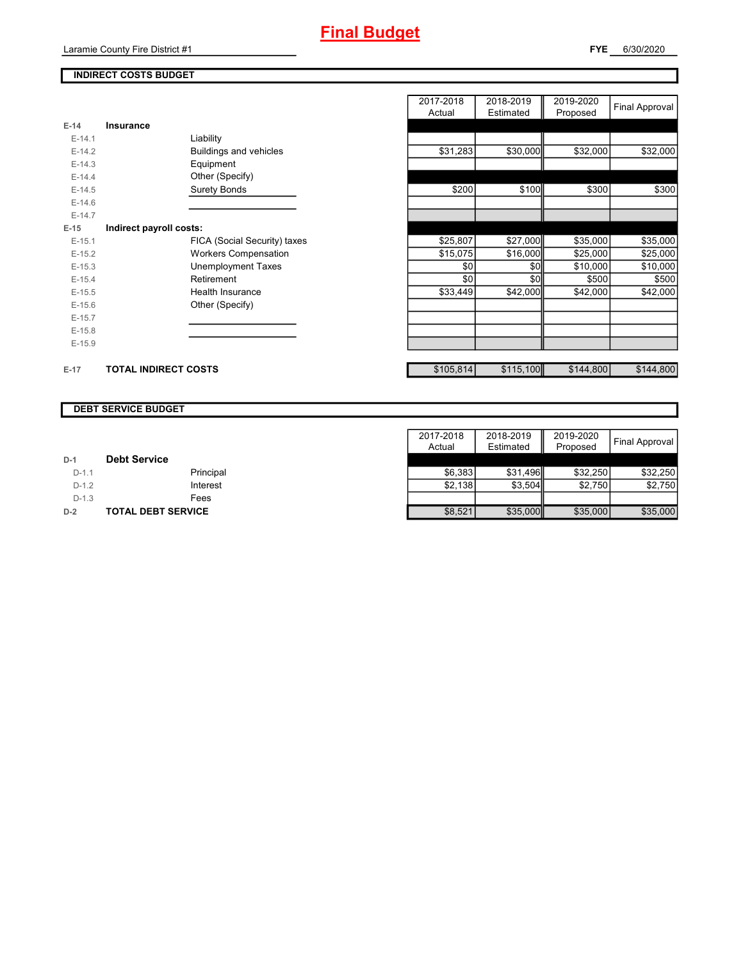## **INDIRECT COSTS BUDGET**

|          |                              | Actual    | Estimated | Proposed  | $\cdots$  |
|----------|------------------------------|-----------|-----------|-----------|-----------|
| $E-14$   | <b>Insurance</b>             |           |           |           |           |
| $E-14.1$ | Liability                    |           |           |           |           |
| $E-14.2$ | Buildings and vehicles       | \$31,283  | \$30,000  | \$32,000  | \$32,000  |
| $E-14.3$ | Equipment                    |           |           |           |           |
| $E-14.4$ | Other (Specify)              |           |           |           |           |
| $E-14.5$ | <b>Surety Bonds</b>          | \$200     | \$100     | \$300     | \$300     |
| $E-14.6$ |                              |           |           |           |           |
| $E-14.7$ |                              |           |           |           |           |
| $E-15$   | Indirect payroll costs:      |           |           |           |           |
| $E-15.1$ | FICA (Social Security) taxes | \$25,807  | \$27,000  | \$35,000  | \$35,000  |
| $E-15.2$ | <b>Workers Compensation</b>  | \$15,075  | \$16,000  | \$25,000  | \$25,000  |
| $E-15.3$ | <b>Unemployment Taxes</b>    | \$0       | \$0       | \$10,000  | \$10,000  |
| $E-15.4$ | Retirement                   | \$0       | \$0       | \$500     | \$500     |
| $E-15.5$ | Health Insurance             | \$33,449  | \$42,000  | \$42,000  | \$42,000  |
| $E-15.6$ | Other (Specify)              |           |           |           |           |
| $E-15.7$ |                              |           |           |           |           |
| $E-15.8$ |                              |           |           |           |           |
| $E-15.9$ |                              |           |           |           |           |
| $E-17$   | <b>TOTAL INDIRECT COSTS</b>  | \$105,814 | \$115,100 | \$144,800 | \$144,800 |

| 2017-2018<br>Actual | 2018-2019<br>Estimated | 2019-2020<br>Proposed | <b>Final Approval</b> |
|---------------------|------------------------|-----------------------|-----------------------|
|                     |                        |                       |                       |
|                     |                        |                       |                       |
| \$31,283            | \$30,000               | \$32,000              | \$32,000              |
|                     |                        |                       |                       |
|                     |                        |                       |                       |
| \$200               | \$100                  | \$300                 | \$300                 |
|                     |                        |                       |                       |
|                     |                        |                       |                       |
|                     |                        |                       |                       |
| \$25,807            | \$27,000               | \$35,000              | \$35,000              |
| \$15,075            | \$16,000               | \$25,000              | \$25,000              |
| \$0                 | \$0                    | \$10,000              | \$10,000              |
| \$0                 | \$0                    | \$500                 | \$500                 |
| \$33,449            | \$42,000               | \$42,000              | \$42,000              |
|                     |                        |                       |                       |
|                     |                        |                       |                       |
|                     |                        |                       |                       |
|                     |                        |                       |                       |
|                     |                        |                       |                       |
| \$105,814           | \$115,100              | \$144,800             | \$144,800             |

#### **DEBT SERVICE BUDGET**

|         |                           | 2017-2018 | 2018-2019 | 2019-2020 |                       |
|---------|---------------------------|-----------|-----------|-----------|-----------------------|
|         |                           | Actual    | Estimated | Proposed  | <b>Final Approval</b> |
| $D-1$   | <b>Debt Service</b>       |           |           |           |                       |
| $D-1.1$ | Principal                 | \$6.383   | \$31.496  | \$32,250  | \$32,250              |
| $D-1.2$ | Interest                  | \$2,138   | \$3,504   | \$2,750   | \$2,750               |
| $D-1.3$ | Fees                      |           |           |           |                       |
| $D-2$   | <b>TOTAL DEBT SERVICE</b> | \$8,521   | \$35,000  | \$35,000  | \$35,000              |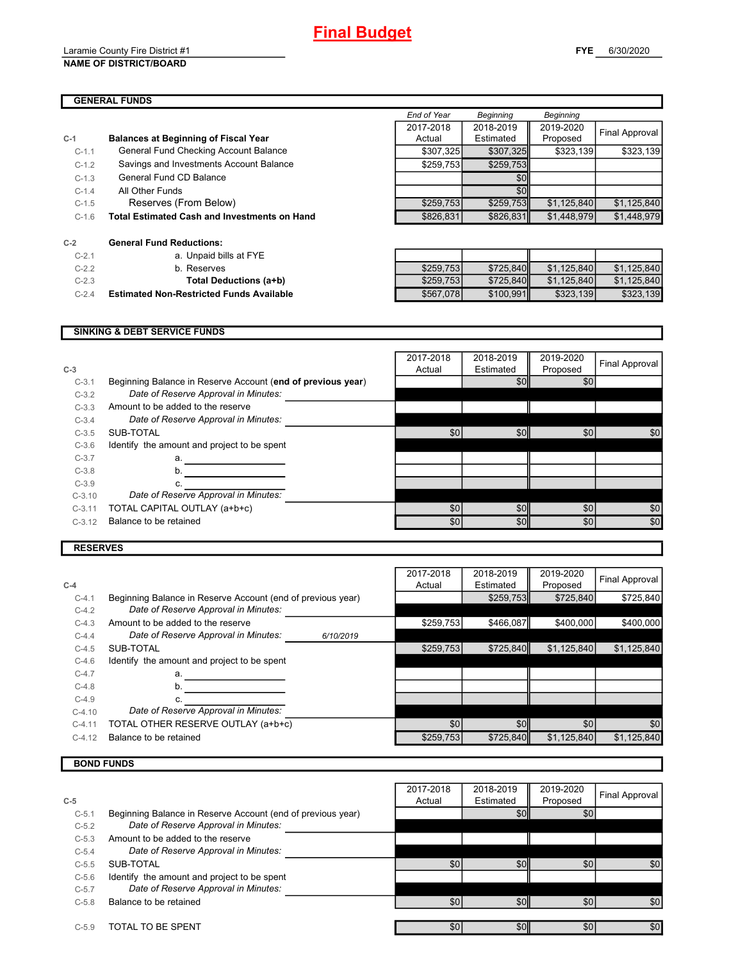#### Laramie County Fire District #1 **NAME OF DISTRICT/BOARD**

## **GENERAL FUNDS**

|         | GENERAL FUNDS                                       |             |                  |                  |                |
|---------|-----------------------------------------------------|-------------|------------------|------------------|----------------|
|         |                                                     | End of Year | <b>Beginning</b> | <b>Beginning</b> |                |
|         |                                                     | 2017-2018   | 2018-2019        | 2019-2020        |                |
| $C-1$   | <b>Balances at Beginning of Fiscal Year</b>         | Actual      | Estimated        | Proposed         | Final Approval |
| $C-1.1$ | General Fund Checking Account Balance               | \$307.325   | \$307,325        | \$323,139        | \$323.139      |
| $C-1.2$ | Savings and Investments Account Balance             | \$259,753   | \$259,753        |                  |                |
| $C-1.3$ | General Fund CD Balance                             |             | \$0              |                  |                |
| $C-1.4$ | All Other Funds                                     |             | \$0 <sub>l</sub> |                  |                |
| $C-1.5$ | Reserves (From Below)                               | \$259,753   | \$259.753        | \$1,125,840      | \$1,125,840    |
| $C-1.6$ | <b>Total Estimated Cash and Investments on Hand</b> | \$826,831   | \$826,831        | \$1,448.979      | \$1,448.979    |

| $C-2$    | <b>General Fund Reductions:</b>              |
|----------|----------------------------------------------|
| $C-2.1$  | a. Unpaid bills at FYE                       |
| $C-22$   | b. Reserves                                  |
| $C-2.3$  | Total Deductions (a+I                        |
| $C - 24$ | <b>Estimated Non-Restricted Funds Availa</b> |

| $C-2.1$ | a. Unpaid bills at FYE                          |           |           |             |             |
|---------|-------------------------------------------------|-----------|-----------|-------------|-------------|
| $C-2.2$ | b. Reserves                                     | \$259.753 | \$725.840 | \$1.125.840 | \$1.125.840 |
| $C-2.3$ | Total Deductions (a+b)                          | \$259.753 | \$725.840 | \$1.125.840 | \$1,125,840 |
| $C-2.4$ | <b>Estimated Non-Restricted Funds Available</b> | \$567.078 | \$100.991 | \$323.139   | \$323,139   |

#### **SINKING & DEBT SERVICE FUNDS**

| $C-3$    |                                                             | 2017-2018<br>Actual | 2018-2019<br>Estimated | 2019-2020<br>Proposed | Final Approval |
|----------|-------------------------------------------------------------|---------------------|------------------------|-----------------------|----------------|
| $C-3.1$  | Beginning Balance in Reserve Account (end of previous year) |                     | \$0                    | \$0                   |                |
| $C-3.2$  | Date of Reserve Approval in Minutes:                        |                     |                        |                       |                |
| $C-3.3$  | Amount to be added to the reserve                           |                     |                        |                       |                |
| $C-3.4$  | Date of Reserve Approval in Minutes:                        |                     |                        |                       |                |
| $C-3.5$  | SUB-TOTAL                                                   | \$0                 | \$0                    | \$0                   | \$0            |
| $C-3.6$  | Identify the amount and project to be spent                 |                     |                        |                       |                |
| $C-3.7$  | a.                                                          |                     |                        |                       |                |
| $C-3.8$  | b.                                                          |                     |                        |                       |                |
| $C-3.9$  | c.                                                          |                     |                        |                       |                |
| $C-3.10$ | Date of Reserve Approval in Minutes:                        |                     |                        |                       |                |
| $C-3.11$ | TOTAL CAPITAL OUTLAY (a+b+c)                                | \$0                 | \$0                    | \$0                   | \$0            |
| $C-3.12$ | Balance to be retained                                      | \$0                 | \$0                    | \$0                   | \$0            |
|          |                                                             |                     |                        |                       |                |

## **RESERVES**

|          |                                                             |           | 2017-2018 | 2018-2019        | 2019-2020   | Final Approval |
|----------|-------------------------------------------------------------|-----------|-----------|------------------|-------------|----------------|
| $C-4$    |                                                             |           | Actual    | Estimated        | Proposed    |                |
| $C-4.1$  | Beginning Balance in Reserve Account (end of previous year) |           |           | \$259,753        | \$725,840   | \$725,840      |
| $C-4.2$  | Date of Reserve Approval in Minutes:                        |           |           |                  |             |                |
| $C-4.3$  | Amount to be added to the reserve                           |           | \$259,753 | \$466,087        | \$400,000   | \$400,000      |
| $C-4.4$  | Date of Reserve Approval in Minutes:                        | 6/10/2019 |           |                  |             |                |
| $C-4.5$  | SUB-TOTAL                                                   |           | \$259,753 | \$725.840        | \$1,125,840 | \$1,125,840    |
| $C-4.6$  | Identify the amount and project to be spent                 |           |           |                  |             |                |
| $C-4.7$  | a.                                                          |           |           |                  |             |                |
| $C-4.8$  | b.                                                          |           |           |                  |             |                |
| $C-4.9$  |                                                             |           |           |                  |             |                |
| $C-4.10$ | Date of Reserve Approval in Minutes:                        |           |           |                  |             |                |
| $C-4.11$ | TOTAL OTHER RESERVE OUTLAY (a+b+c)                          |           | \$0       | \$0 <sub>1</sub> | \$0         | \$0            |
| $C-4.12$ | Balance to be retained                                      |           | \$259,753 | \$725,840        | \$1,125,840 | \$1,125,840    |
|          |                                                             |           |           |                  |             |                |

## **BOND FUNDS**

|         |                                                             | 2017-2018 | 2018-2019        | 2019-2020 | Final Approval |
|---------|-------------------------------------------------------------|-----------|------------------|-----------|----------------|
| $C-5$   |                                                             | Actual    | Estimated        | Proposed  |                |
| $C-5.1$ | Beginning Balance in Reserve Account (end of previous year) |           | \$0 <sub>1</sub> | \$0       |                |
| $C-5.2$ | Date of Reserve Approval in Minutes:                        |           |                  |           |                |
| $C-5.3$ | Amount to be added to the reserve                           |           |                  |           |                |
| $C-5.4$ | Date of Reserve Approval in Minutes:                        |           |                  |           |                |
| $C-5.5$ | SUB-TOTAL                                                   | \$0       | \$0              | \$0       | \$0            |
| $C-5.6$ | Identify the amount and project to be spent                 |           |                  |           |                |
| $C-5.7$ | Date of Reserve Approval in Minutes:                        |           |                  |           |                |
| $C-5.8$ | Balance to be retained                                      | \$0       | \$0              | \$0       | \$0            |
|         |                                                             |           |                  |           |                |
| $C-5.9$ | TOTAL TO BE SPENT                                           | \$0       | \$0              | \$0       | \$0            |